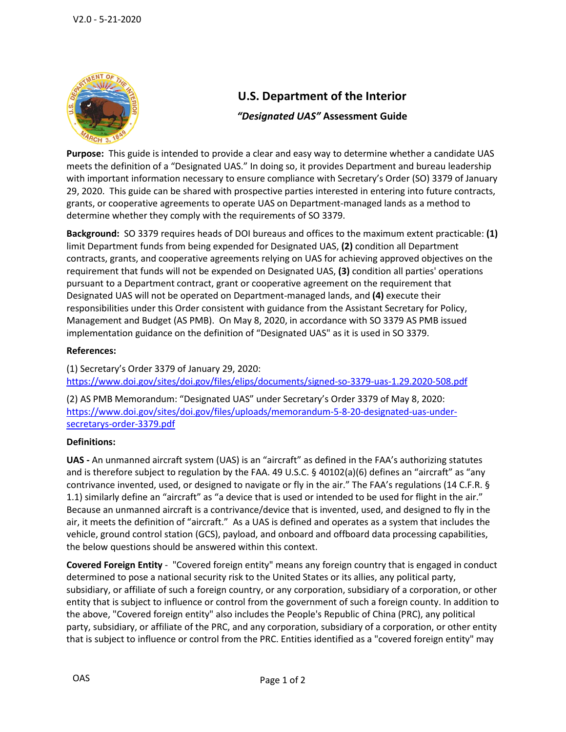

# **U.S. Department of the Interior**

## *"Designated UAS"* **Assessment Guide**

 **Purpose:** This guide is intended to provide a clear and easy way to determine whether a candidate UAS meets the definition of a "Designated UAS." In doing so, it provides Department and bureau leadership with important information necessary to ensure compliance with Secretary's Order (SO) 3379 of January 29, 2020. This guide can be shared with prospective parties interested in entering into future contracts, grants, or cooperative agreements to operate UAS on Department-managed lands as a method to determine whether they comply with the requirements of SO 3379.

 **Background:** SO 3379 requires heads of DOI bureaus and offices to the maximum extent practicable: **(1)**  limit Department funds from being expended for Designated UAS, **(2)** condition all Department contracts, grants, and cooperative agreements relying on UAS for achieving approved objectives on the requirement that funds will not be expended on Designated UAS, **(3)** condition all parties' operations pursuant to a Department contract, grant or cooperative agreement on the requirement that Designated UAS will not be operated on Department-managed lands, and **(4)** execute their responsibilities under this Order consistent with guidance from the Assistant Secretary for Policy, Management and Budget (AS PMB). On May 8, 2020, in accordance with SO 3379 AS PMB issued implementation guidance on the definition of "Designated UAS" as it is used in SO 3379.

### **References:**

(1) Secretary's Order 3379 of January 29, 2020: <https://www.doi.gov/sites/doi.gov/files/elips/documents/signed-so-3379-uas-1.29.2020-508.pdf>

(2) AS PMB Memorandum: "Designated UAS" under Secretary's Order 3379 of May 8, 2020: [https://www.doi.gov/sites/doi.gov/files/uploads/memorandum-5-8-20-designated-uas-under](https://www.doi.gov/sites/doi.gov/files/uploads/memorandum-5-8-20-designated-uas-under-secretarys-order-3379.pdf)[secretarys-order-3379.pdf](https://www.doi.gov/sites/doi.gov/files/uploads/memorandum-5-8-20-designated-uas-under-secretarys-order-3379.pdf) 

#### Definitions:

**Definitions:**<br>**UAS** - An unmanned aircraft system (UAS) is an "aircraft" as defined in the FAA's authorizing statutes and is therefore subject to regulation by the FAA. 49 U.S.C. § 40102(a)(6) defines an "aircraft" as "any contrivance invented, used, or designed to navigate or fly in the air." The FAA's regulations (14 C.F.R. § 1.1) similarly define an "aircraft" as "a device that is used or intended to be used for flight in the air." air, it meets the definition of "aircraft." As a UAS is defined and operates as a system that includes the Because an unmanned aircraft is a contrivance/device that is invented, used, and designed to fly in the vehicle, ground control station (GCS), payload, and onboard and offboard data processing capabilities, the below questions should be answered within this context.

 **Covered Foreign Entity** - "Covered foreign entity" means any foreign country that is engaged in conduct subsidiary, or affiliate of such a foreign country, or any corporation, subsidiary of a corporation, or other entity that is subject to influence or control from the government of such a foreign county. In addition to that is subject to influence or control from the PRC. Entities identified as a "covered foreign entity" may determined to pose a national security risk to the United States or its allies, any political party, the above, "Covered foreign entity" also includes the People's Republic of China (PRC), any political party, subsidiary, or affiliate of the PRC, and any corporation, subsidiary of a corporation, or other entity